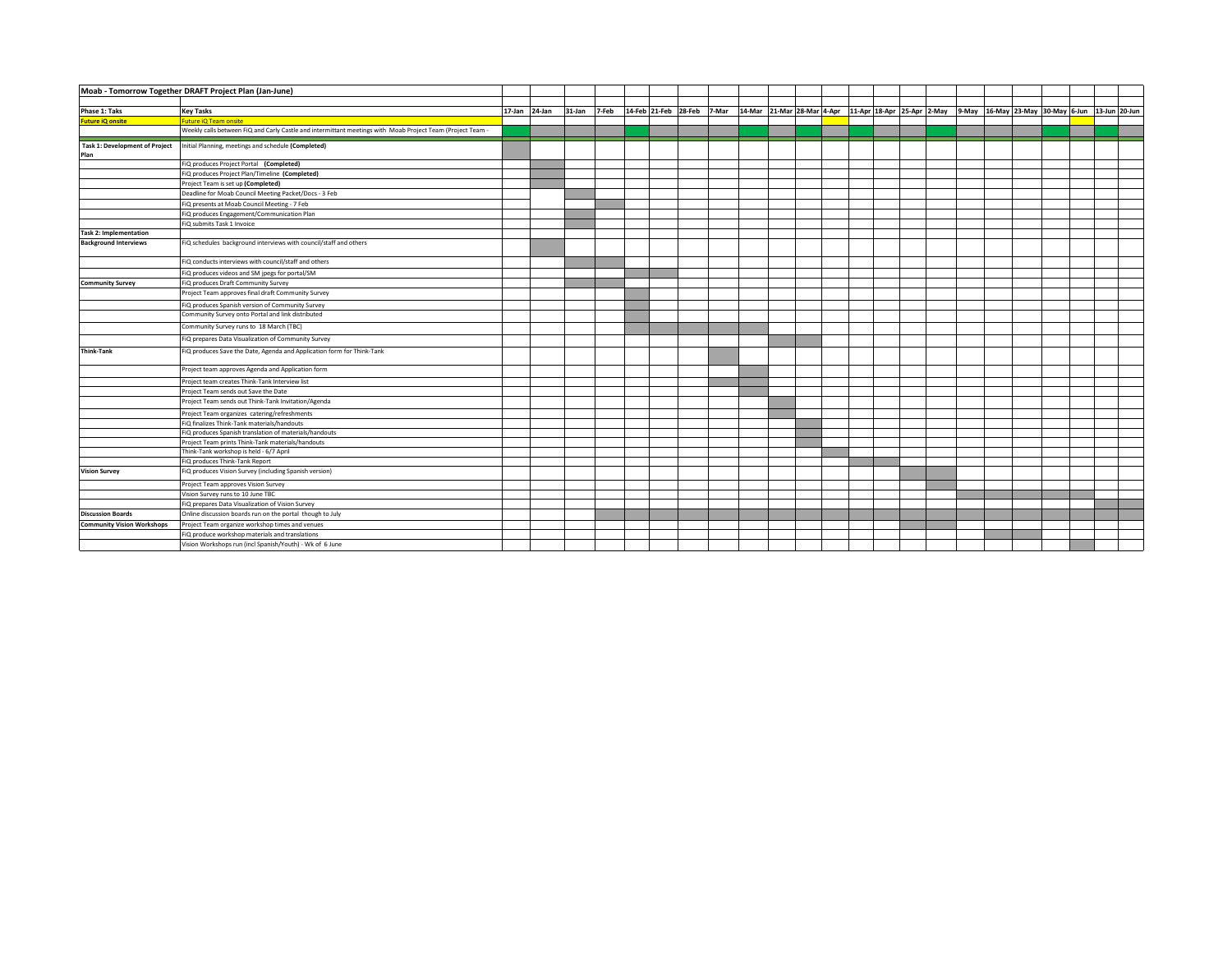| Moab - Tomorrow Together DRAFT Project Plan (Jan-June) |                                                                                                            |               |        |       |  |                            |  |                                                                                                      |  |  |  |  |  |  |
|--------------------------------------------------------|------------------------------------------------------------------------------------------------------------|---------------|--------|-------|--|----------------------------|--|------------------------------------------------------------------------------------------------------|--|--|--|--|--|--|
| Phase 1: Taks                                          | <b>Key Tasks</b>                                                                                           | 17-Jan 24-Jan | 31-Jan | 7-Feb |  | 14-Feb 21-Feb 28-Feb 7-Mar |  | 13-Jun 28-Mar 28-Mar 4-Apr 11-Apr 18-Apr 25-Apr 2-May 9-May 16-May 23-May 30-May 6-Jun 13-Jun 20-Jun |  |  |  |  |  |  |
| <b>Future iQ onsite</b>                                | Future iQ Team onsite                                                                                      |               |        |       |  |                            |  |                                                                                                      |  |  |  |  |  |  |
|                                                        | Weekly calls between FiQ and Carly Castle and intermittant meetings with Moab Project Team (Project Team - |               |        |       |  |                            |  |                                                                                                      |  |  |  |  |  |  |
| <b>Task 1: Development of Project</b><br>Plan          | Initial Planning, meetings and schedule (Completed)                                                        |               |        |       |  |                            |  |                                                                                                      |  |  |  |  |  |  |
|                                                        | FiQ produces Project Portal (Completed)                                                                    |               |        |       |  |                            |  |                                                                                                      |  |  |  |  |  |  |
|                                                        | FiQ produces Project Plan/Timeline (Completed)                                                             |               |        |       |  |                            |  |                                                                                                      |  |  |  |  |  |  |
|                                                        | Project Team is set up (Completed)                                                                         |               |        |       |  |                            |  |                                                                                                      |  |  |  |  |  |  |
|                                                        | Deadline for Moab Council Meeting Packet/Docs - 3 Feb                                                      |               |        |       |  |                            |  |                                                                                                      |  |  |  |  |  |  |
|                                                        | FIQ presents at Moab Council Meeting - 7 Feb                                                               |               |        |       |  |                            |  |                                                                                                      |  |  |  |  |  |  |
|                                                        | FIQ produces Engagement/Communication Plan                                                                 |               |        |       |  |                            |  |                                                                                                      |  |  |  |  |  |  |
|                                                        | FiQ submits Task 1 Invoice                                                                                 |               |        |       |  |                            |  |                                                                                                      |  |  |  |  |  |  |
| <b>Task 2: Implementation</b>                          |                                                                                                            |               |        |       |  |                            |  |                                                                                                      |  |  |  |  |  |  |
| <b>Background Interviews</b>                           | FIQ schedules background interviews with council/staff and others                                          |               |        |       |  |                            |  |                                                                                                      |  |  |  |  |  |  |
|                                                        | FIQ conducts interviews with council/staff and others                                                      |               |        |       |  |                            |  |                                                                                                      |  |  |  |  |  |  |
|                                                        | FIQ produces videos and SM jpegs for portal/SM                                                             |               |        |       |  |                            |  |                                                                                                      |  |  |  |  |  |  |
| <b>Community Survey</b>                                | FIQ produces Draft Community Survey                                                                        |               |        |       |  |                            |  |                                                                                                      |  |  |  |  |  |  |
|                                                        | Project Team approves final draft Community Survey                                                         |               |        |       |  |                            |  |                                                                                                      |  |  |  |  |  |  |
|                                                        | FIQ produces Spanish version of Community Survey                                                           |               |        |       |  |                            |  |                                                                                                      |  |  |  |  |  |  |
|                                                        | Community Survey onto Portal and link distributed                                                          |               |        |       |  |                            |  |                                                                                                      |  |  |  |  |  |  |
|                                                        | Community Survey runs to 18 March (TBC)                                                                    |               |        |       |  |                            |  |                                                                                                      |  |  |  |  |  |  |
|                                                        | FIQ prepares Data Visualization of Community Survey                                                        |               |        |       |  |                            |  |                                                                                                      |  |  |  |  |  |  |
| <b>Think-Tank</b>                                      | FIQ produces Save the Date, Agenda and Application form for Think-Tank                                     |               |        |       |  |                            |  |                                                                                                      |  |  |  |  |  |  |
|                                                        | Project team approves Agenda and Application form                                                          |               |        |       |  |                            |  |                                                                                                      |  |  |  |  |  |  |
|                                                        | Project team creates Think-Tank Interview list                                                             |               |        |       |  |                            |  |                                                                                                      |  |  |  |  |  |  |
|                                                        | Project Team sends out Save the Date                                                                       |               |        |       |  |                            |  |                                                                                                      |  |  |  |  |  |  |
|                                                        | Project Team sends out Think-Tank Invitation/Agenda                                                        |               |        |       |  |                            |  |                                                                                                      |  |  |  |  |  |  |
|                                                        | Project Team organizes catering/refreshments                                                               |               |        |       |  |                            |  |                                                                                                      |  |  |  |  |  |  |
|                                                        | FIQ finalizes Think-Tank materials/handouts                                                                |               |        |       |  |                            |  |                                                                                                      |  |  |  |  |  |  |
|                                                        | FIQ produces Spanish translation of materials/handouts                                                     |               |        |       |  |                            |  |                                                                                                      |  |  |  |  |  |  |
|                                                        | Project Team prints Think-Tank materials/handouts                                                          |               |        |       |  |                            |  |                                                                                                      |  |  |  |  |  |  |
|                                                        | Think-Tank workshop is held - 6/7 April                                                                    |               |        |       |  |                            |  |                                                                                                      |  |  |  |  |  |  |
|                                                        | FIQ produces Think-Tank Report                                                                             |               |        |       |  |                            |  |                                                                                                      |  |  |  |  |  |  |
| <b>Vision Survey</b>                                   | FIQ produces Vision Survey (including Spanish version)                                                     |               |        |       |  |                            |  |                                                                                                      |  |  |  |  |  |  |
|                                                        | Project Team approves Vision Survey                                                                        |               |        |       |  |                            |  |                                                                                                      |  |  |  |  |  |  |
|                                                        | Vision Survey runs to 10 June TBC                                                                          |               |        |       |  |                            |  |                                                                                                      |  |  |  |  |  |  |
|                                                        | FIQ prepares Data Visualization of Vision Survey                                                           |               |        |       |  |                            |  |                                                                                                      |  |  |  |  |  |  |
| <b>Discussion Boards</b>                               | Online discussion boards run on the portal though to July                                                  |               |        |       |  |                            |  |                                                                                                      |  |  |  |  |  |  |
| <b>Community Vision Workshops</b>                      | Project Team organize workshop times and venues                                                            |               |        |       |  |                            |  |                                                                                                      |  |  |  |  |  |  |
|                                                        | FiQ produce workshop materials and translations                                                            |               |        |       |  |                            |  |                                                                                                      |  |  |  |  |  |  |
|                                                        | Vision Workshops run (incl Spanish/Youth) - Wk of 6 June                                                   |               |        |       |  |                            |  |                                                                                                      |  |  |  |  |  |  |